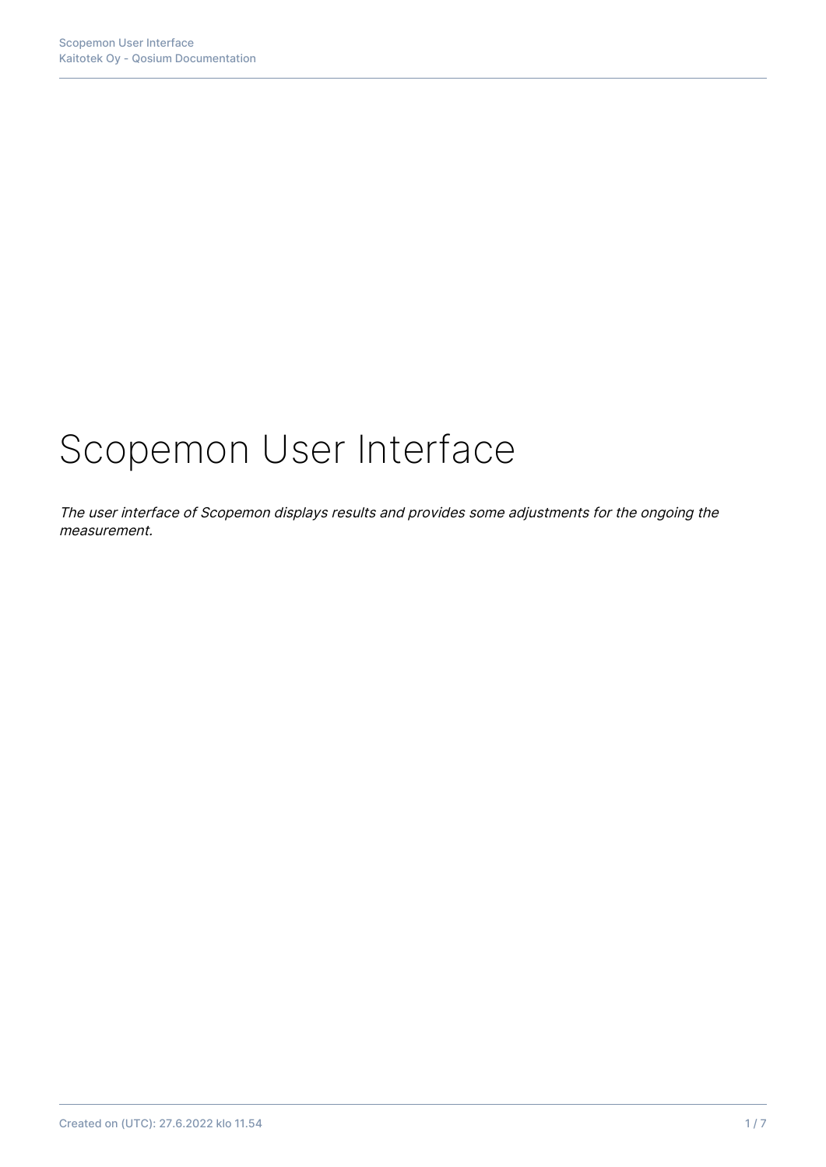# Scopemon User Interface

The user interface of Scopemon displays results and provides some adjustments for the ongoing the measurement.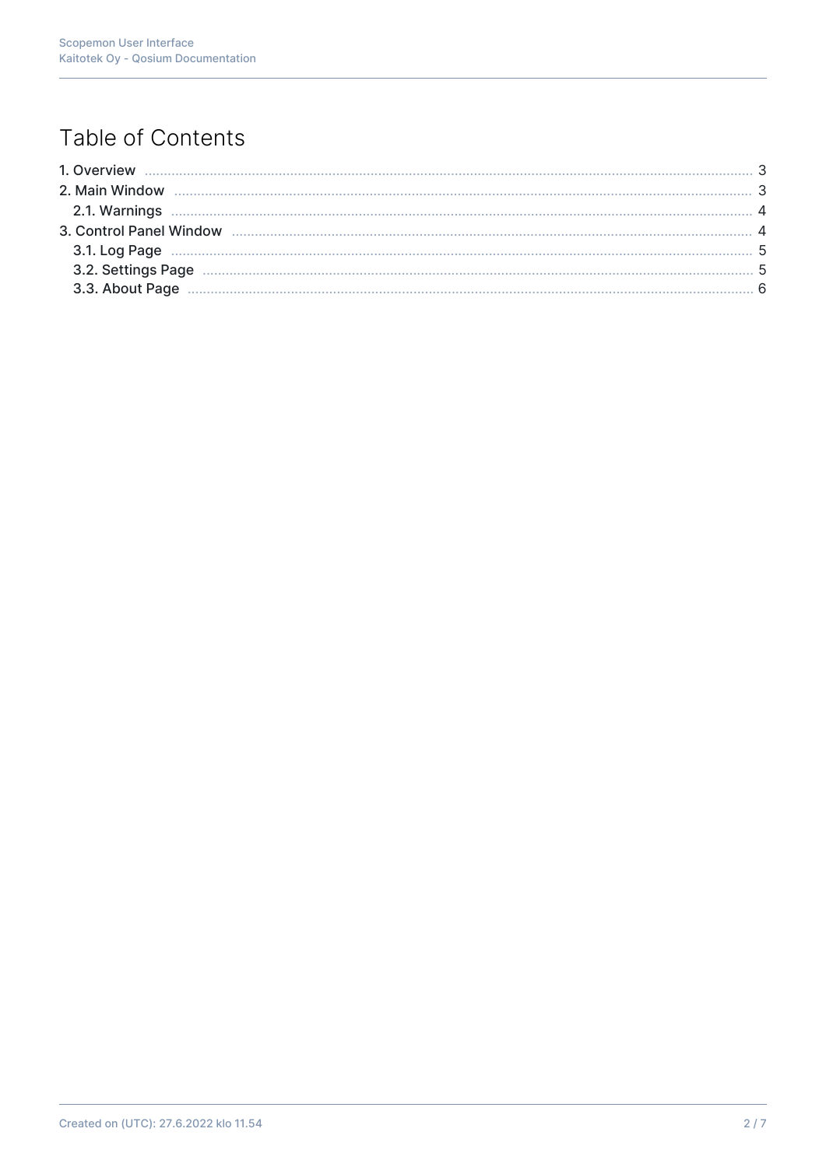# Table of Contents

| 2.1. Warnings <b>Machines</b> 4 |  |
|---------------------------------|--|
|                                 |  |
|                                 |  |
|                                 |  |
|                                 |  |
|                                 |  |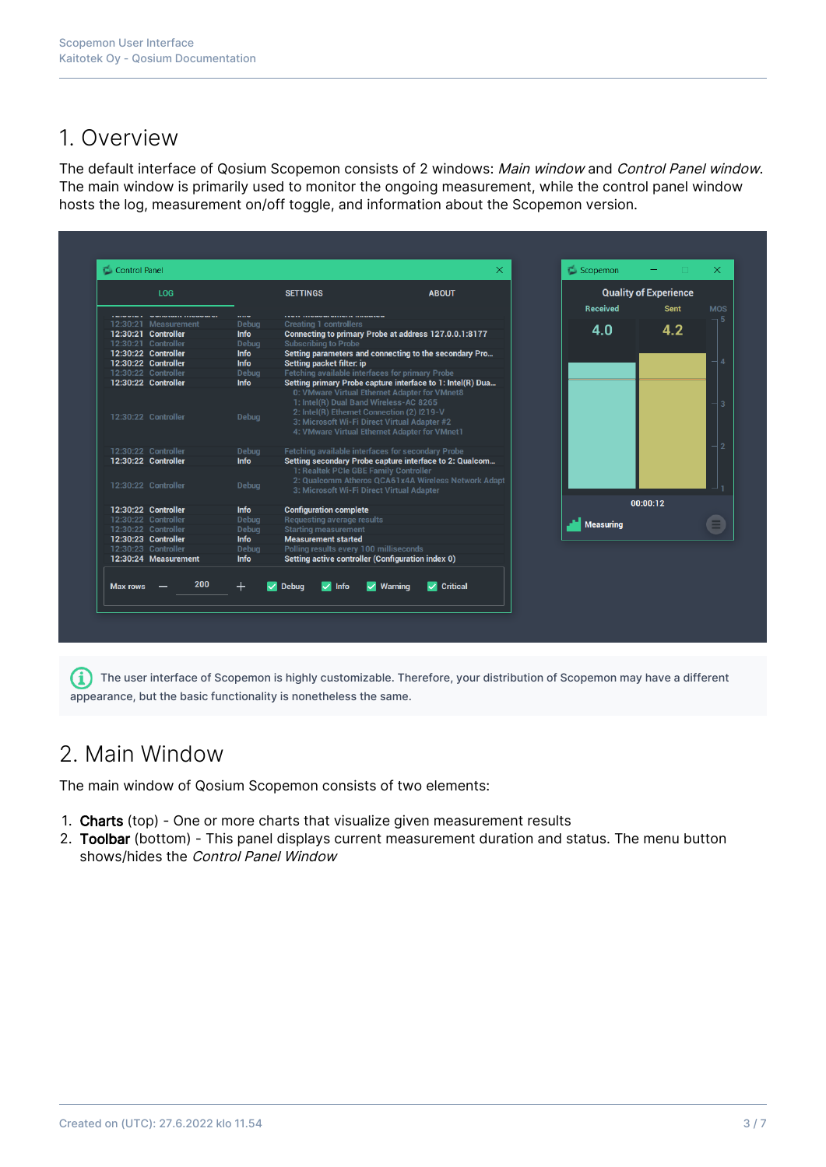## 1. Overview

The default interface of Qosium Scopemon consists of 2 windows: Main window and Control Panel window. The main window is primarily used to monitor the ongoing measurement, while the control panel window hosts the log, measurement on/off toggle, and information about the Scopemon version.

| LOG      |                      | <b>SETTINGS</b><br><b>ABOUT</b> |                                                                                                                                                                                       |                                                            | <b>Quality of Experience</b> |                           |
|----------|----------------------|---------------------------------|---------------------------------------------------------------------------------------------------------------------------------------------------------------------------------------|------------------------------------------------------------|------------------------------|---------------------------|
|          |                      |                                 |                                                                                                                                                                                       |                                                            | <b>Received</b>              | <b>Sent</b><br><b>MOS</b> |
|          | 12:30:21 Measurement | <b>Debua</b>                    | <b>Creating 1 controllers</b>                                                                                                                                                         |                                                            |                              |                           |
|          | 12:30:21 Controller  | <b>Info</b>                     |                                                                                                                                                                                       | Connecting to primary Probe at address 127.0.0.1:8177      | 4.0                          | 4.2                       |
|          | 12:30:21 Controller  | Debug                           | <b>Subscribing to Probe</b>                                                                                                                                                           |                                                            |                              |                           |
|          | 12:30:22 Controller  | <b>Info</b>                     |                                                                                                                                                                                       | Setting parameters and connecting to the secondary Pro     |                              |                           |
|          | 12:30:22 Controller  | <b>Info</b>                     | Setting packet filter: ip                                                                                                                                                             |                                                            |                              |                           |
|          | 12:30:22 Controller  | Debua                           | Fetching available interfaces for primary Probe                                                                                                                                       |                                                            |                              |                           |
|          | 12:30:22 Controller  | <b>Info</b>                     |                                                                                                                                                                                       | Setting primary Probe capture interface to 1: Intel(R) Dua |                              |                           |
|          | 12:30:22 Controller  | Debug                           | 1: Intel(R) Dual Band Wireless-AC 8265<br>2: Intel(R) Ethernet Connection (2) I219-V<br>3: Microsoft Wi-Fi Direct Virtual Adapter #2<br>4: VMware Virtual Ethernet Adapter for VMnet1 |                                                            |                              |                           |
|          | 12:30:22 Controller  | Debug                           | Fetching available interfaces for secondary Probe                                                                                                                                     |                                                            |                              |                           |
|          | 12:30:22 Controller  | <b>Info</b>                     |                                                                                                                                                                                       | Setting secondary Probe capture interface to 2: Qualcom    |                              |                           |
|          | 12:30:22 Controller  | Debug                           | 1: Realtek PCIe GBE Family Controller<br>3: Microsoft Wi-Fi Direct Virtual Adapter                                                                                                    | 2: Qualcomm Atheros QCA61x4A Wireless Network Adapt        |                              |                           |
|          | 12:30:22 Controller  | <b>Info</b>                     | <b>Configuration complete</b>                                                                                                                                                         |                                                            |                              | 00:00:12                  |
|          | 12:30:22 Controller  | Debua                           | Requesting average results                                                                                                                                                            |                                                            |                              |                           |
|          | 12:30:22 Controller  | Debua                           | <b>Starting measurement</b>                                                                                                                                                           |                                                            | <b>Measuring</b>             |                           |
|          | 12:30:23 Controller  | <b>Info</b>                     | <b>Measurement started</b>                                                                                                                                                            |                                                            |                              |                           |
|          | 12:30:23 Controller  | Debug                           | Polling results every 100 milliseconds                                                                                                                                                |                                                            |                              |                           |
|          | 12:30:24 Measurement | <b>Info</b>                     | Setting active controller (Configuration index 0)                                                                                                                                     |                                                            |                              |                           |
| Max rows | 200                  | $+$                             | <b>Debug</b><br>$\sqrt{ }$ Info                                                                                                                                                       | <b>Critical</b><br>$\vee$ Warning<br>◡                     |                              |                           |

 $\bullet$  The user interface of Scopemon is highly customizable. Therefore, your distribution of Scopemon may have a different appearance, but the basic functionality is nonetheless the same.

## 2. Main Window

The main window of Qosium Scopemon consists of two elements:

- 1. Charts (top) One or more charts that visualize given measurement results
- 2. Toolbar (bottom) This panel displays current measurement duration and status. The menu button shows/hides the Control Panel Window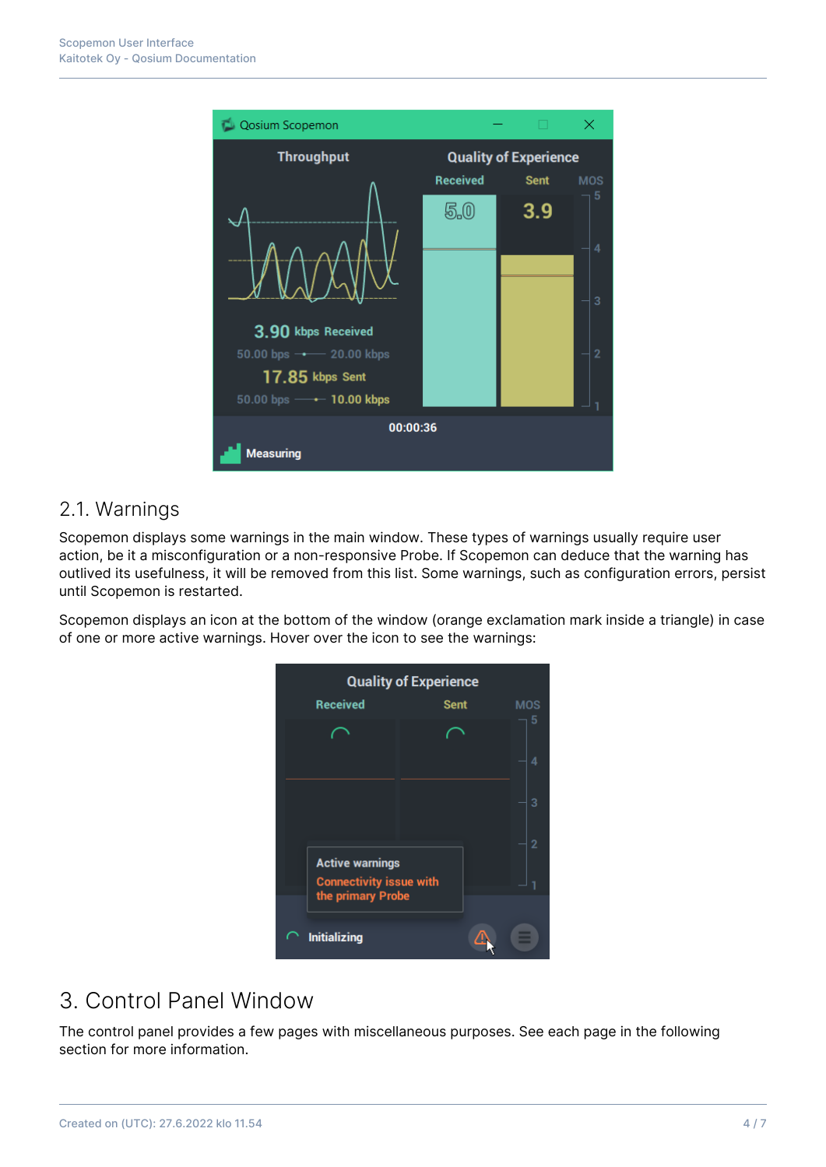

#### 2.1. Warnings

Scopemon displays some warnings in the main window. These types of warnings usually require user action, be it a misconfiguration or a non-responsive Probe. If Scopemon can deduce that the warning has outlived its usefulness, it will be removed from this list. Some warnings, such as configuration errors, persist until Scopemon is restarted.

Scopemon displays an icon at the bottom of the window (orange exclamation mark inside a triangle) in case of one or more active warnings. Hover over the icon to see the warnings:

| <b>Quality of Experience</b> |                                                     |             |  |            |  |
|------------------------------|-----------------------------------------------------|-------------|--|------------|--|
|                              | <b>Received</b>                                     | <b>Sent</b> |  | <b>MOS</b> |  |
|                              |                                                     |             |  | 5          |  |
|                              |                                                     |             |  | 4          |  |
|                              |                                                     |             |  | 3          |  |
|                              | <b>Active warnings</b>                              |             |  | 2          |  |
|                              | <b>Connectivity issue with</b><br>the primary Probe |             |  |            |  |
|                              | <b>Initializing</b>                                 |             |  |            |  |

# 3. Control Panel Window

The control panel provides a few pages with miscellaneous purposes. See each page in the following section for more information.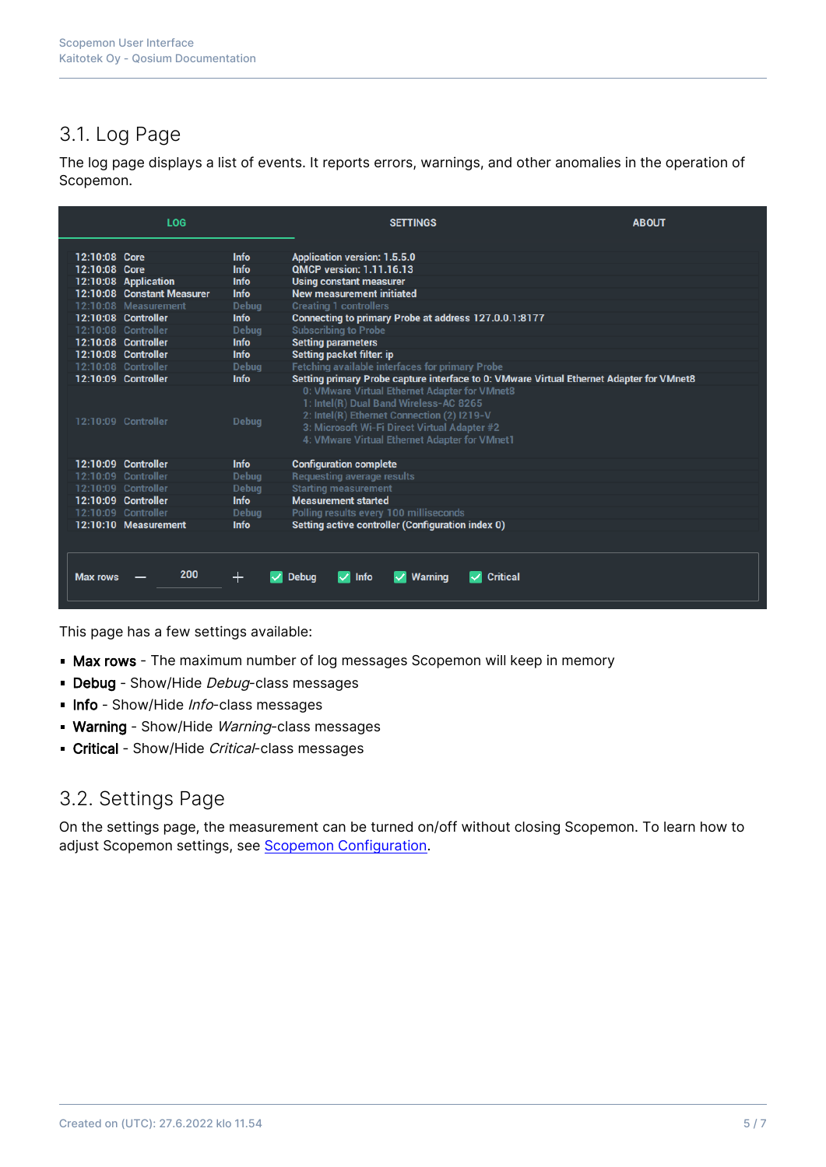## 3.1. Log Page

The log page displays a list of events. It reports errors, warnings, and other anomalies in the operation of Scopemon.

|                 | LOG                        |              | <b>SETTINGS</b>                                                                                                                                                                                                                        | <b>ABOUT</b> |  |  |
|-----------------|----------------------------|--------------|----------------------------------------------------------------------------------------------------------------------------------------------------------------------------------------------------------------------------------------|--------------|--|--|
| 12:10:08 Core   |                            | <b>Info</b>  | <b>Application version: 1.5.5.0</b>                                                                                                                                                                                                    |              |  |  |
| 12:10:08 Core   |                            | <b>Info</b>  | <b>QMCP version: 1.11.16.13</b>                                                                                                                                                                                                        |              |  |  |
|                 | 12:10:08 Application       | <b>Info</b>  | <b>Using constant measurer</b>                                                                                                                                                                                                         |              |  |  |
|                 | 12:10:08 Constant Measurer | <b>Info</b>  | <b>New measurement initiated</b>                                                                                                                                                                                                       |              |  |  |
|                 | 12:10:08 Measurement       | <b>Debug</b> | <b>Creating 1 controllers</b>                                                                                                                                                                                                          |              |  |  |
|                 | 12:10:08 Controller        | <b>Info</b>  | Connecting to primary Probe at address 127.0.0.1:8177                                                                                                                                                                                  |              |  |  |
|                 | 12:10:08 Controller        | <b>Debua</b> | <b>Subscribing to Probe</b>                                                                                                                                                                                                            |              |  |  |
|                 | 12:10:08 Controller        | <b>Info</b>  | <b>Setting parameters</b>                                                                                                                                                                                                              |              |  |  |
|                 | 12:10:08 Controller        | <b>Info</b>  | <b>Setting packet filter: ip</b>                                                                                                                                                                                                       |              |  |  |
|                 | 12:10:08 Controller        | <b>Debug</b> | <b>Fetching available interfaces for primary Probe</b>                                                                                                                                                                                 |              |  |  |
|                 | 12:10:09 Controller        | <b>Info</b>  | Setting primary Probe capture interface to 0: VMware Virtual Ethernet Adapter for VMnet8                                                                                                                                               |              |  |  |
|                 | 12:10:09 Controller        | <b>Debua</b> | 0: VMware Virtual Ethernet Adapter for VMnet8<br>1: Intel(R) Dual Band Wireless-AC 8265<br>2: Intel(R) Ethernet Connection (2) I219-V<br>3: Microsoft Wi-Fi Direct Virtual Adapter #2<br>4: VMware Virtual Ethernet Adapter for VMnet1 |              |  |  |
|                 | 12:10:09 Controller        | <b>Info</b>  | <b>Configuration complete</b>                                                                                                                                                                                                          |              |  |  |
|                 | 12:10:09 Controller        | Debug        | <b>Requesting average results</b>                                                                                                                                                                                                      |              |  |  |
|                 | 12:10:09 Controller        | <b>Debug</b> | <b>Starting measurement</b>                                                                                                                                                                                                            |              |  |  |
|                 | 12:10:09 Controller        | <b>Info</b>  | <b>Measurement started</b>                                                                                                                                                                                                             |              |  |  |
|                 | 12:10:09 Controller        | <b>Debug</b> | Polling results every 100 milliseconds                                                                                                                                                                                                 |              |  |  |
|                 | 12:10:10 Measurement       | <b>Info</b>  | Setting active controller (Configuration index 0)                                                                                                                                                                                      |              |  |  |
|                 |                            |              |                                                                                                                                                                                                                                        |              |  |  |
| <b>Max rows</b> | 200                        | $\pm$        | <b>Critical</b><br><b>Info</b><br><b>Debua</b><br>v.<br><b>Warning</b>                                                                                                                                                                 |              |  |  |

This page has a few settings available:

- **Max rows** The maximum number of log messages Scopemon will keep in memory
- Debug Show/Hide Debug-class messages
- Info Show/Hide Info-class messages
- **Warning** Show/Hide Warning-class messages
- Critical Show/Hide Critical-class messages

#### 3.2. Settings Page

On the settings page, the measurement can be turned on/off without closing Scopemon. To learn how to adjust Scopemon settings, see [Scopemon Configuration.](https://kaitotek.com/fi/resources/documentation/scopemon/configuration)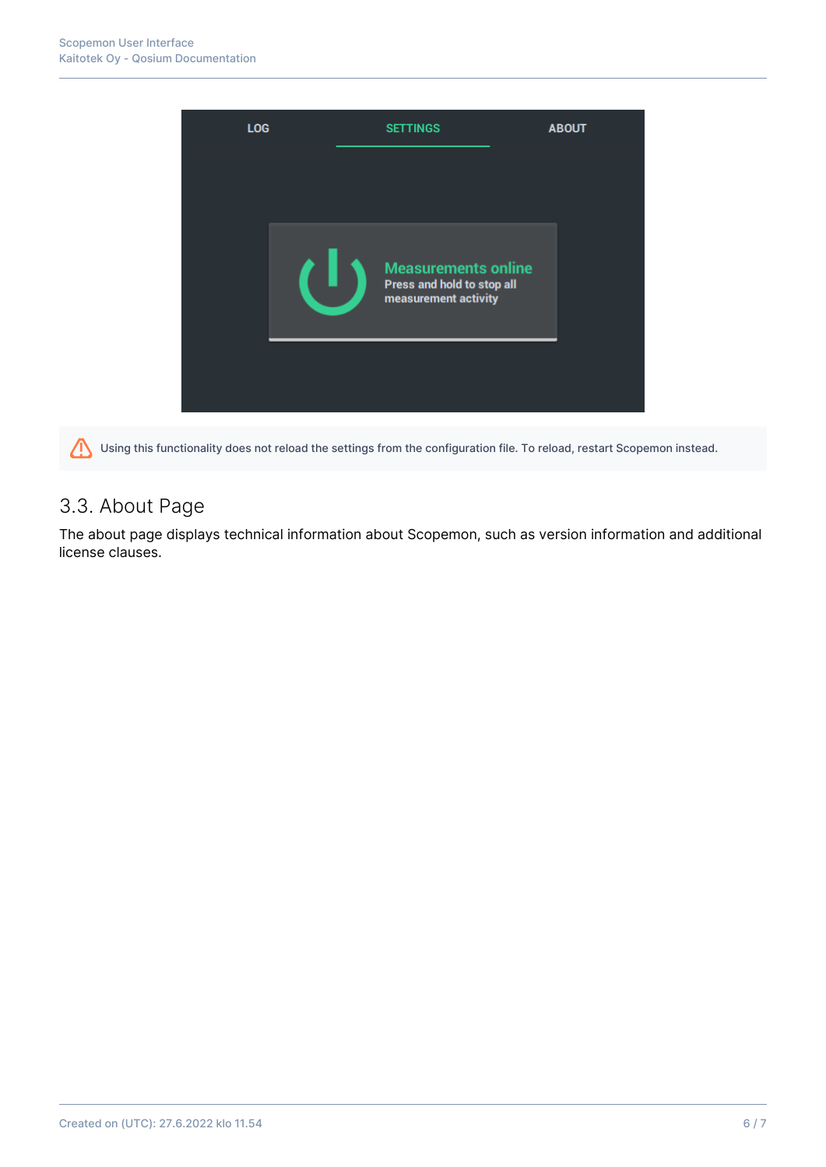

Using this functionality does not reload the settings from the configuration file. To reload, restart Scopemon instead. 71

## 3.3. About Page

The about page displays technical information about Scopemon, such as version information and additional license clauses.